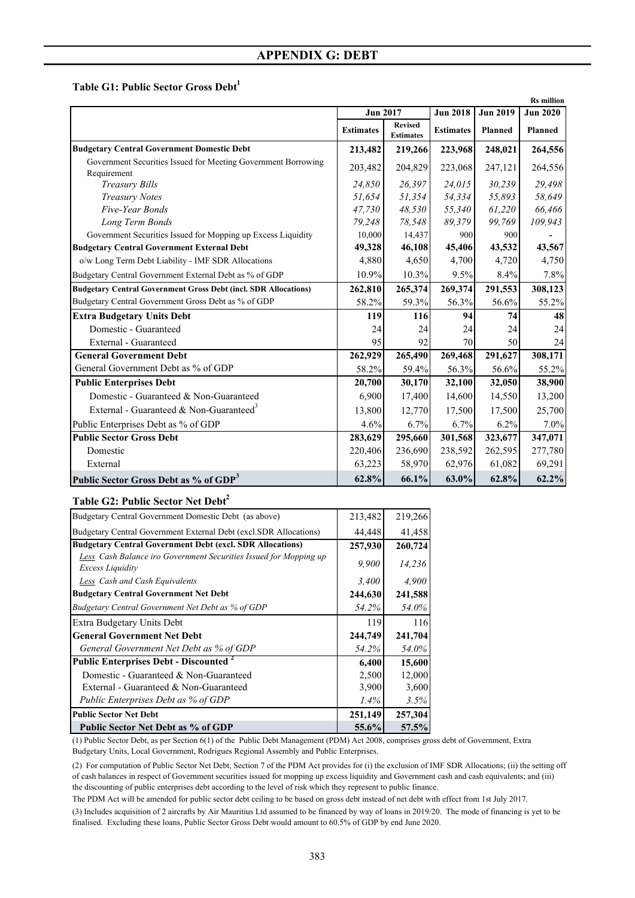**Table G1: Public Sector Gross Debt<sup>1</sup>** 

|                                                                              |                  |                                    |                  |                 | <b>Rs</b> million |
|------------------------------------------------------------------------------|------------------|------------------------------------|------------------|-----------------|-------------------|
|                                                                              | <b>Jun 2017</b>  |                                    | <b>Jun 2018</b>  | <b>Jun 2019</b> | <b>Jun 2020</b>   |
|                                                                              | <b>Estimates</b> | <b>Revised</b><br><b>Estimates</b> | <b>Estimates</b> | Planned         | <b>Planned</b>    |
| <b>Budgetary Central Government Domestic Debt</b>                            | 213,482          | 219,266                            | 223,968          | 248,021         | 264,556           |
| Government Securities Issued for Meeting Government Borrowing<br>Requirement | 203,482          | 204,829                            | 223,068          | 247,121         | 264,556           |
| <b>Treasury Bills</b>                                                        | 24,850           | 26,397                             | 24,015           | 30,239          | 29,498            |
| <b>Treasury Notes</b>                                                        | 51,654           | 51,354                             | 54,334           | 55,893          | 58,649            |
| Five-Year Bonds                                                              | 47,730           | 48,530                             | 55,340           | 61,220          | 66,466            |
| Long Term Bonds                                                              | 79,248           | 78,548                             | 89,379           | 99,769          | 109,943           |
| Government Securities Issued for Mopping up Excess Liquidity                 | 10,000           | 14,437                             | 900              | 900             |                   |
| <b>Budgetary Central Government External Debt</b>                            | 49,328           | 46,108                             | 45,406           | 43,532          | 43,567            |
| o/w Long Term Debt Liability - IMF SDR Allocations                           | 4,880            | 4,650                              | 4,700            | 4,720           | 4,750             |
| Budgetary Central Government External Debt as % of GDP                       | 10.9%            | 10.3%                              | 9.5%             | 8.4%            | 7.8%              |
| <b>Budgetary Central Government Gross Debt (incl. SDR Allocations)</b>       | 262,810          | 265,374                            | 269,374          | 291,553         | 308,123           |
| Budgetary Central Government Gross Debt as % of GDP                          | 58.2%            | 59.3%                              | 56.3%            | 56.6%           | 55.2%             |
| <b>Extra Budgetary Units Debt</b>                                            | 119              | 116                                | 94               | 74              | 48                |
| Domestic - Guaranteed                                                        | 24               | 24                                 | 24               | 24              | 24                |
| External - Guaranteed                                                        | 95               | 92                                 | 70               | 50              | 24                |
| <b>General Government Debt</b>                                               | 262,929          | 265,490                            | 269,468          | 291,627         | 308,171           |
| General Government Debt as % of GDP                                          | 58.2%            | 59.4%                              | 56.3%            | 56.6%           | 55.2%             |
| <b>Public Enterprises Debt</b>                                               | 20,700           | 30,170                             | 32,100           | 32,050          | 38,900            |
| Domestic - Guaranteed & Non-Guaranteed                                       | 6.900            | 17,400                             | 14,600           | 14,550          | 13,200            |
| External - Guaranteed & Non-Guaranteed <sup>3</sup>                          | 13,800           | 12,770                             | 17,500           | 17,500          | 25,700            |
| Public Enterprises Debt as % of GDP                                          | 4.6%             | 6.7%                               | 6.7%             | 6.2%            | 7.0%              |
| <b>Public Sector Gross Debt</b>                                              | 283,629          | 295,660                            | 301,568          | 323,677         | 347,071           |
| Domestic                                                                     | 220,406          | 236,690                            | 238,592          | 262,595         | 277,780           |
| External                                                                     | 63,223           | 58,970                             | 62,976           | 61,082          | 69,291            |
| Public Sector Gross Debt as % of GDP <sup>3</sup>                            | 62.8%            | 66.1%                              | $63.0\%$         | 62.8%           | 62.2%             |

### **Table G2: Public Sector Net Debt2**

| Budgetary Central Government Domestic Debt (as above)                                 | 213,482  | 219,266 |
|---------------------------------------------------------------------------------------|----------|---------|
| Budgetary Central Government External Debt (excl.SDR Allocations)                     | 44,448   | 41,458  |
| <b>Budgetary Central Government Debt (excl. SDR Allocations)</b>                      | 257,930  | 260,724 |
| Less Cash Balance iro Government Securities Issued for Mopping up<br>Excess Liquidity | 9.900    | 14,236  |
| Less Cash and Cash Equivalents                                                        | 3,400    | 4,900   |
| <b>Budgetary Central Government Net Debt</b>                                          | 244,630  | 241,588 |
| Budgetary Central Government Net Debt as % of GDP                                     | 54.2%    | 54.0%   |
| Extra Budgetary Units Debt                                                            | 119      | 116     |
| <b>General Government Net Debt</b>                                                    | 244,749  | 241,704 |
| General Government Net Debt as % of GDP                                               | 54.2%    | 54.0%   |
| <b>Public Enterprises Debt - Discounted -</b>                                         | 6,400    | 15,600  |
| Domestic - Guaranteed & Non-Guaranteed                                                | 2,500    | 12,000  |
| External - Guaranteed & Non-Guaranteed                                                | 3,900    | 3,600   |
| Public Enterprises Debt as % of GDP                                                   | $1.4\%$  | $3.5\%$ |
| Public Sector Net Debt                                                                | 251,149  | 257,304 |
| Public Sector Net Debt as % of GDP                                                    | $55.6\%$ | 57.5%   |

(1) Public Sector Debt, as per Section 6(1) of the Public Debt Management (PDM) Act 2008, comprises gross debt of Government, Extra Budgetary Units, Local Government, Rodrigues Regional Assembly and Public Enterprises.

(2) For computation of Public Sector Net Debt, Section 7 of the PDM Act provides for (i) the exclusion of IMF SDR Allocations; (ii) the setting off of cash balances in respect of Government securities issued for mopping up excess liquidity and Government cash and cash equivalents; and (iii) the discounting of public enterprises debt according to the level of risk which they represent to public finance.

The PDM Act will be amended for public sector debt ceiling to be based on gross debt instead of net debt with effect from 1st July 2017.

(3) Includes acquisition of 2 aircrafts by Air Mauritius Ltd assumed to be financed by way of loans in 2019/20. The mode of financing is yet to be finalised. Excluding these loans, Public Sector Gross Debt would amount to 60.5% of GDP by end June 2020.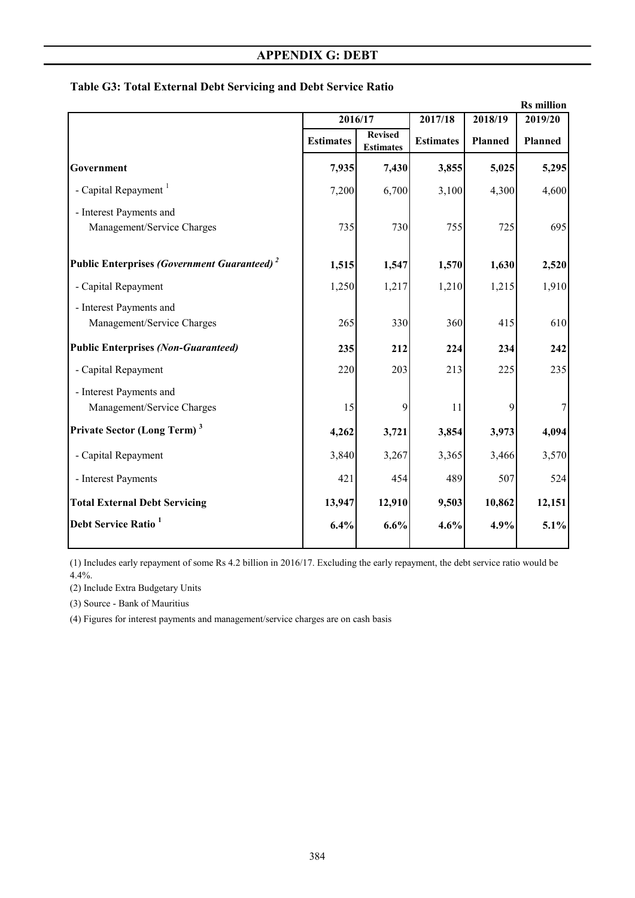| <b>Rs</b> million                                       |                  |                                    |                  |         |                |
|---------------------------------------------------------|------------------|------------------------------------|------------------|---------|----------------|
|                                                         |                  | 2016/17                            |                  | 2018/19 | 2019/20        |
|                                                         | <b>Estimates</b> | <b>Revised</b><br><b>Estimates</b> | <b>Estimates</b> | Planned | <b>Planned</b> |
| Government                                              | 7,935            | 7,430                              | 3,855            | 5,025   | 5,295          |
| - Capital Repayment <sup>1</sup>                        | 7,200            | 6,700                              | 3,100            | 4,300   | 4,600          |
| - Interest Payments and                                 |                  |                                    |                  |         |                |
| Management/Service Charges                              | 735              | 730                                | 755              | 725     | 695            |
| Public Enterprises (Government Guaranteed) <sup>2</sup> | 1,515            | 1,547                              | 1,570            | 1,630   | 2,520          |
| - Capital Repayment                                     | 1,250            | 1,217                              | 1,210            | 1,215   | 1,910          |
| - Interest Payments and                                 |                  |                                    |                  |         |                |
| Management/Service Charges                              | 265              | 330                                | 360              | 415     | 610            |
| <b>Public Enterprises (Non-Guaranteed)</b>              | 235              | 212                                | 224              | 234     | 242            |
| - Capital Repayment                                     | 220              | 203                                | 213              | 225     | 235            |
| - Interest Payments and                                 |                  |                                    |                  |         |                |
| Management/Service Charges                              | 15               | 9                                  | 11               | 9       |                |
| Private Sector (Long Term) <sup>3</sup>                 | 4,262            | 3,721                              | 3,854            | 3,973   | 4,094          |
| - Capital Repayment                                     | 3,840            | 3,267                              | 3,365            | 3,466   | 3,570          |
| - Interest Payments                                     | 421              | 454                                | 489              | 507     | 524            |
| <b>Total External Debt Servicing</b>                    | 13,947           | 12,910                             | 9,503            | 10,862  | 12,151         |
| Debt Service Ratio <sup>1</sup>                         | 6.4%             | 6.6%                               | 4.6%             | 4.9%    | 5.1%           |
|                                                         |                  |                                    |                  |         |                |

## **Table G3: Total External Debt Servicing and Debt Service Ratio**

(1) Includes early repayment of some Rs 4.2 billion in 2016/17. Excluding the early repayment, the debt service ratio would be 4.4%.

(2) Include Extra Budgetary Units

(3) Source - Bank of Mauritius

(4) Figures for interest payments and management/service charges are on cash basis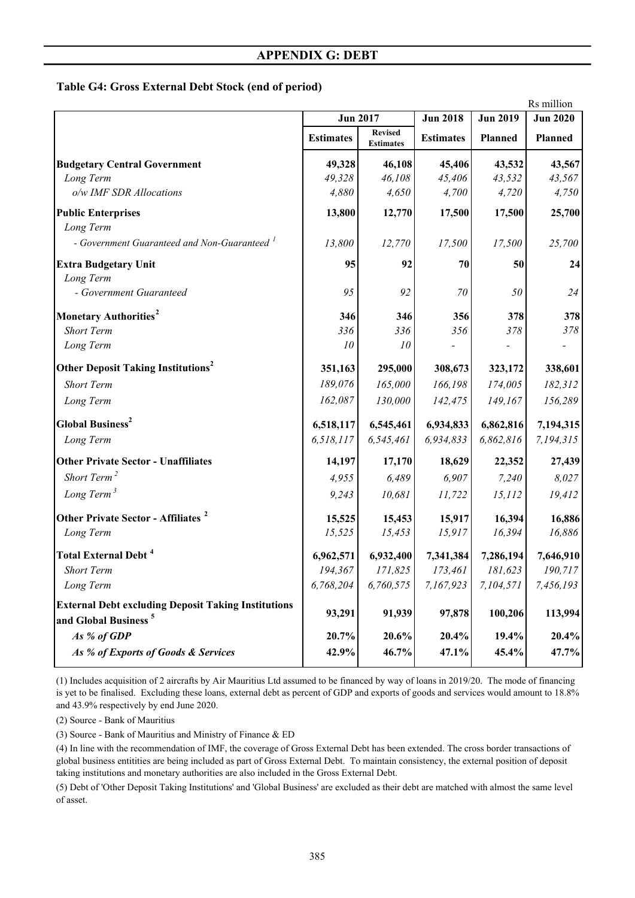### **Table G4: Gross External Debt Stock (end of period)**

| Rs million                                                 |                  |                                    |                  |                 |                 |
|------------------------------------------------------------|------------------|------------------------------------|------------------|-----------------|-----------------|
|                                                            |                  | <b>Jun 2017</b>                    | <b>Jun 2018</b>  | <b>Jun 2019</b> | <b>Jun 2020</b> |
|                                                            | <b>Estimates</b> | <b>Revised</b><br><b>Estimates</b> | <b>Estimates</b> | Planned         | Planned         |
| <b>Budgetary Central Government</b>                        | 49,328           | 46,108                             | 45,406           | 43,532          | 43,567          |
| Long Term                                                  | 49,328           | 46,108                             | 45,406           | 43,532          | 43,567          |
| o/w IMF SDR Allocations                                    | 4,880            | 4,650                              | 4,700            | 4,720           | 4,750           |
| <b>Public Enterprises</b>                                  | 13,800           | 12,770                             | 17,500           | 17,500          | 25,700          |
| Long Term                                                  |                  |                                    |                  |                 |                 |
| - Government Guaranteed and Non-Guaranteed <sup>1</sup>    | 13,800           | 12,770                             | 17,500           | 17,500          | 25,700          |
| <b>Extra Budgetary Unit</b>                                | 95               | 92                                 | 70               | 50              | 24              |
| Long Term                                                  |                  |                                    |                  |                 |                 |
| - Government Guaranteed                                    | 95               | 92                                 | 70               | 50              | 24              |
| Monetary Authorities <sup>2</sup>                          | 346              | 346                                | 356              | 378             | 378             |
| <b>Short Term</b>                                          | 336              | 336                                | 356              | 378             | 378             |
| Long Term                                                  | 10               | 10                                 |                  |                 |                 |
| <b>Other Deposit Taking Institutions</b> <sup>2</sup>      | 351,163          | 295,000                            | 308,673          | 323,172         | 338,601         |
| <b>Short Term</b>                                          | 189,076          | 165,000                            | 166,198          | 174,005         | 182,312         |
| Long Term                                                  | 162,087          | 130,000                            | 142,475          | 149,167         | 156,289         |
| <b>Global Business<sup>2</sup></b>                         | 6,518,117        | 6,545,461                          | 6,934,833        | 6,862,816       | 7,194,315       |
| Long Term                                                  | 6,518,117        | 6,545,461                          | 6,934,833        | 6,862,816       | 7,194,315       |
| <b>Other Private Sector - Unaffiliates</b>                 | 14,197           | 17,170                             | 18,629           | 22,352          | 27,439          |
| Short Term <sup>2</sup>                                    | 4,955            | 6,489                              | 6,907            | 7,240           | 8,027           |
| Long Term <sup>3</sup>                                     | 9,243            | 10,681                             | 11,722           | 15,112          | 19,412          |
| Other Private Sector - Affiliates <sup>2</sup>             | 15,525           | 15,453                             | 15,917           | 16,394          | 16,886          |
| Long Term                                                  | 15,525           | 15,453                             | 15,917           | 16,394          | 16,886          |
| <b>Total External Debt<sup>4</sup></b>                     | 6,962,571        | 6,932,400                          | 7,341,384        | 7,286,194       | 7,646,910       |
| Short Term                                                 | 194,367          | 171,825                            | 173,461          | 181,623         | 190,717         |
| Long Term                                                  | 6,768,204        | 6,760,575                          | 7,167,923        | 7,104,571       | 7,456,193       |
| <b>External Debt excluding Deposit Taking Institutions</b> |                  |                                    |                  | 100,206         | 113,994         |
| and Global Business <sup>5</sup>                           | 93,291           | 91,939                             | 97,878           |                 |                 |
| As % of GDP                                                | 20.7%            | 20.6%                              | 20.4%            | 19.4%           | 20.4%           |
| As % of Exports of Goods & Services                        | 42.9%            | 46.7%                              | 47.1%            | 45.4%           | 47.7%           |
|                                                            |                  |                                    |                  |                 |                 |

(1) Includes acquisition of 2 aircrafts by Air Mauritius Ltd assumed to be financed by way of loans in 2019/20. The mode of financing is yet to be finalised. Excluding these loans, external debt as percent of GDP and exports of goods and services would amount to 18.8% and 43.9% respectively by end June 2020.

(2) Source - Bank of Mauritius

(3) Source - Bank of Mauritius and Ministry of Finance & ED

(4) In line with the recommendation of IMF, the coverage of Gross External Debt has been extended. The cross border transactions of global business entitities are being included as part of Gross External Debt. To maintain consistency, the external position of deposit taking institutions and monetary authorities are also included in the Gross External Debt.

(5) Debt of 'Other Deposit Taking Institutions' and 'Global Business' are excluded as their debt are matched with almost the same level of asset.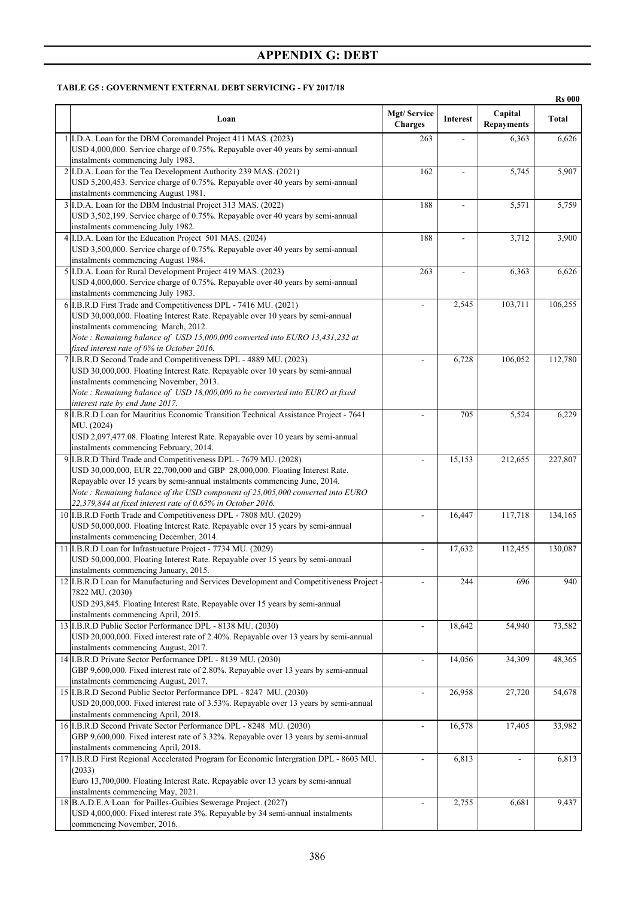#### **TABLE G5 : GOVERNMENT EXTERNAL DEBT SERVICING - FY 2017/18**

|                                                                                                                                                                                                                                                                                                                                                                             |                               |                 |                              | <b>Rs 000</b> |
|-----------------------------------------------------------------------------------------------------------------------------------------------------------------------------------------------------------------------------------------------------------------------------------------------------------------------------------------------------------------------------|-------------------------------|-----------------|------------------------------|---------------|
| Loan                                                                                                                                                                                                                                                                                                                                                                        | Mgt/Service<br><b>Charges</b> | <b>Interest</b> | Capital<br><b>Repayments</b> | <b>Total</b>  |
| 1 I.D.A. Loan for the DBM Coromandel Project 411 MAS. (2023)<br>USD 4,000,000. Service charge of 0.75%. Repayable over 40 years by semi-annual<br>instalments commencing July 1983.                                                                                                                                                                                         | 263                           |                 | 6,363                        | 6,626         |
| 2 I.D.A. Loan for the Tea Development Authority 239 MAS. (2021)<br>USD 5,200,453. Service charge of 0.75%. Repayable over 40 years by semi-annual<br>instalments commencing August 1981.                                                                                                                                                                                    | 162                           |                 | 5,745                        | 5,907         |
| 3 I.D.A. Loan for the DBM Industrial Project 313 MAS. (2022)<br>USD 3,502,199. Service charge of 0.75%. Repayable over 40 years by semi-annual<br>instalments commencing July 1982.                                                                                                                                                                                         | 188                           | ÷.              | 5,571                        | 5,759         |
| 4 I.D.A. Loan for the Education Project 501 MAS. (2024)<br>USD 3,500,000. Service charge of 0.75%. Repayable over 40 years by semi-annual<br>instalments commencing August 1984.                                                                                                                                                                                            | 188                           |                 | 3,712                        | 3,900         |
| 5 I.D.A. Loan for Rural Development Project 419 MAS. (2023)<br>USD 4,000,000. Service charge of 0.75%. Repayable over 40 years by semi-annual<br>instalments commencing July 1983.                                                                                                                                                                                          | 263                           |                 | 6,363                        | 6,626         |
| 6 I.B.R.D First Trade and Competitiveness DPL - 7416 MU. (2021)<br>USD 30,000,000. Floating Interest Rate. Repayable over 10 years by semi-annual<br>instalments commencing March, 2012.<br>Note: Remaining balance of USD 15,000,000 converted into EURO 13,431,232 at<br>fixed interest rate of 0% in October 2016.                                                       | ÷.                            | 2,545           | 103,711                      | 106,255       |
| 7 I.B.R.D Second Trade and Competitiveness DPL - 4889 MU. (2023)<br>USD 30,000,000. Floating Interest Rate. Repayable over 10 years by semi-annual<br>instalments commencing November, 2013.<br>Note: Remaining balance of USD 18,000,000 to be converted into EURO at fixed<br>interest rate by end June 2017.                                                             |                               | 6,728           | 106,052                      | 112,780       |
| 8 I.B.R.D Loan for Mauritius Economic Transition Technical Assistance Project - 7641<br>MU. (2024)<br>USD 2,097,477.08. Floating Interest Rate. Repayable over 10 years by semi-annual<br>instalments commencing February, 2014.                                                                                                                                            |                               | 705             | 5,524                        | 6,229         |
| 9 I.B.R.D Third Trade and Competitiveness DPL - 7679 MU. (2028)<br>USD 30,000,000, EUR 22,700,000 and GBP 28,000,000. Floating Interest Rate.<br>Repayable over 15 years by semi-annual instalments commencing June, 2014.<br>Note: Remaining balance of the USD component of 25,005,000 converted into EURO<br>22,379,844 at fixed interest rate of 0.65% in October 2016. |                               | 15,153          | 212,655                      | 227,807       |
| 10 I.B.R.D Forth Trade and Competitiveness DPL - 7808 MU. (2029)<br>USD 50,000,000. Floating Interest Rate. Repayable over 15 years by semi-annual<br>instalments commencing December, 2014.                                                                                                                                                                                | $\overline{\phantom{a}}$      | 16,447          | 117,718                      | 134,165       |
| 11 I.B.R.D Loan for Infrastructure Project - 7734 MU. (2029)<br>USD 50,000,000. Floating Interest Rate. Repayable over 15 years by semi-annual<br>instalments commencing January, 2015.                                                                                                                                                                                     |                               | 17,632          | 112,455                      | 130,087       |
| 12 I.B.R.D Loan for Manufacturing and Services Development and Competitiveness Project<br>7822 MU. (2030)<br>USD 293,845. Floating Interest Rate. Repayable over 15 years by semi-annual<br>instalments commencing April, 2015.                                                                                                                                             |                               | 244             | 696                          | 940           |
| 13 I.B.R.D Public Sector Performance DPL - 8138 MU. (2030)<br>USD 20,000,000. Fixed interest rate of 2.40%. Repayable over 13 years by semi-annual<br>instalments commencing August, 2017.                                                                                                                                                                                  | L.                            | 18,642          | 54,940                       | 73,582        |
| 14 I.B.R.D Private Sector Performance DPL - 8139 MU. (2030)<br>GBP 9,600,000. Fixed interest rate of 2.80%. Repayable over 13 years by semi-annual<br>instalments commencing August, 2017.                                                                                                                                                                                  | $\overline{\phantom{a}}$      | 14,056          | 34,309                       | 48,365        |
| 15 I.B.R.D Second Public Sector Performance DPL - 8247 MU. (2030)<br>USD 20,000,000. Fixed interest rate of 3.53%. Repayable over 13 years by semi-annual<br>instalments commencing April, 2018.                                                                                                                                                                            |                               | 26,958          | 27,720                       | 54,678        |
| 16 I.B.R.D Second Private Sector Performance DPL - 8248 MU. (2030)<br>GBP 9,600,000. Fixed interest rate of 3.32%. Repayable over 13 years by semi-annual<br>instalments commencing April, 2018.                                                                                                                                                                            |                               | 16,578          | 17,405                       | 33,982        |
| 17 I.B.R.D First Regional Accelerated Program for Economic Intergration DPL - 8603 MU.<br>(2033)<br>Euro 13,700,000. Floating Interest Rate. Repayable over 13 years by semi-annual<br>instalments commencing May, 2021.                                                                                                                                                    | ÷.                            | 6,813           |                              | 6,813         |
| 18 B.A.D.E.A Loan for Pailles-Guibies Sewerage Project. (2027)<br>USD 4,000,000. Fixed interest rate 3%. Repayable by 34 semi-annual instalments<br>commencing November, 2016.                                                                                                                                                                                              |                               | 2,755           | 6,681                        | 9,437         |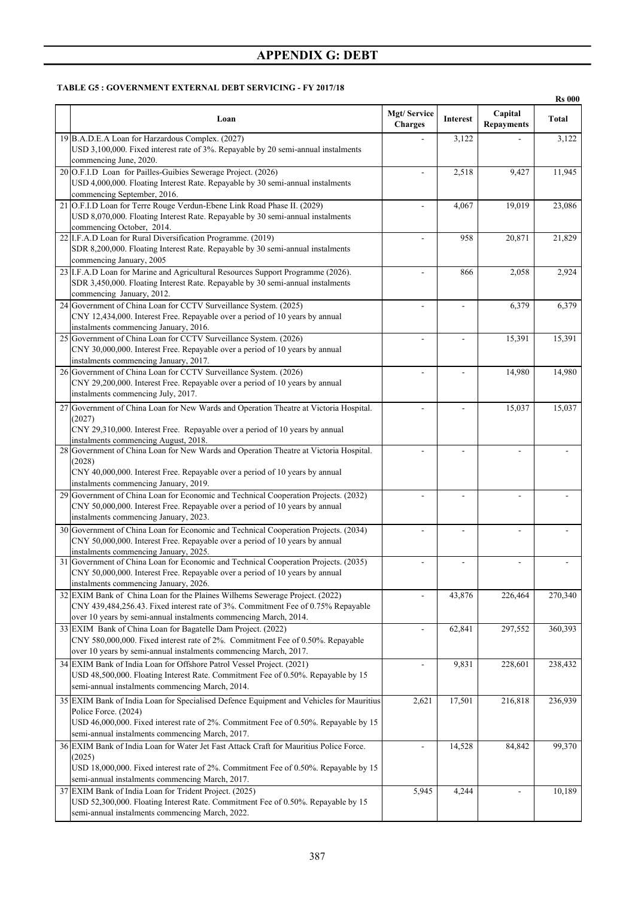#### **TABLE G5 : GOVERNMENT EXTERNAL DEBT SERVICING - FY 2017/18**

|    |                                                                                                                                                                                                                                                           |                               |                 |                              | <b>Rs 000</b> |
|----|-----------------------------------------------------------------------------------------------------------------------------------------------------------------------------------------------------------------------------------------------------------|-------------------------------|-----------------|------------------------------|---------------|
|    | Loan                                                                                                                                                                                                                                                      | Mgt/Service<br><b>Charges</b> | <b>Interest</b> | Capital<br><b>Repayments</b> | <b>Total</b>  |
|    | 19 B.A.D.E.A Loan for Harzardous Complex. (2027)<br>USD 3,100,000. Fixed interest rate of 3%. Repayable by 20 semi-annual instalments<br>commencing June, 2020.                                                                                           |                               | 3,122           |                              | 3,122         |
|    | 20 O.F.I.D Loan for Pailles-Guibies Sewerage Project. (2026)<br>USD 4,000,000. Floating Interest Rate. Repayable by 30 semi-annual instalments<br>commencing September, 2016.                                                                             | $\overline{\phantom{a}}$      | 2,518           | $\overline{9,427}$           | 11,945        |
|    | 21 O.F.I.D Loan for Terre Rouge Verdun-Ebene Link Road Phase II. (2029)<br>USD 8,070,000. Floating Interest Rate. Repayable by 30 semi-annual instalments<br>commencing October, 2014.                                                                    |                               | 4,067           | 19,019                       | 23,086        |
|    | 22 I.F.A.D Loan for Rural Diversification Programme. (2019)<br>SDR 8,200,000. Floating Interest Rate. Repayable by 30 semi-annual instalments<br>commencing January, 2005                                                                                 |                               | 958             | 20,871                       | 21,829        |
|    | 23 I.F.A.D Loan for Marine and Agricultural Resources Support Programme (2026).<br>SDR 3,450,000. Floating Interest Rate. Repayable by 30 semi-annual instalments<br>commencing January, 2012.                                                            |                               | 866             | 2,058                        | 2,924         |
|    | 24 Government of China Loan for CCTV Surveillance System. (2025)<br>CNY 12,434,000. Interest Free. Repayable over a period of 10 years by annual<br>instalments commencing January, 2016.                                                                 | ÷,                            | $\overline{a}$  | 6,379                        | 6,379         |
|    | 25 Government of China Loan for CCTV Surveillance System. (2026)<br>CNY 30,000,000. Interest Free. Repayable over a period of 10 years by annual<br>instalments commencing January, 2017.                                                                 | ÷,                            |                 | 15,391                       | 15,391        |
|    | 26 Government of China Loan for CCTV Surveillance System. (2026)<br>CNY 29,200,000. Interest Free. Repayable over a period of 10 years by annual<br>instalments commencing July, 2017.                                                                    |                               |                 | 14,980                       | 14,980        |
| 27 | Government of China Loan for New Wards and Operation Theatre at Victoria Hospital.<br>(2027)<br>CNY 29,310,000. Interest Free. Repayable over a period of 10 years by annual<br>instalments commencing August, 2018.                                      |                               |                 | 15,037                       | 15,037        |
|    | 28 Government of China Loan for New Wards and Operation Theatre at Victoria Hospital.<br>(2028)<br>CNY 40,000,000. Interest Free. Repayable over a period of 10 years by annual<br>instalments commencing January, 2019.                                  |                               |                 |                              |               |
|    | 29 Government of China Loan for Economic and Technical Cooperation Projects. (2032)<br>CNY 50,000,000. Interest Free. Repayable over a period of 10 years by annual<br>instalments commencing January, 2023.                                              |                               |                 |                              |               |
|    | 30 Government of China Loan for Economic and Technical Cooperation Projects. (2034)<br>CNY 50,000,000. Interest Free. Repayable over a period of 10 years by annual<br>instalments commencing January, 2025.                                              | ٠                             | $\overline{a}$  |                              |               |
| 31 | Government of China Loan for Economic and Technical Cooperation Projects. (2035)<br>CNY 50,000,000. Interest Free. Repayable over a period of 10 years by annual<br>instalments commencing January, 2026.                                                 | $\overline{\phantom{a}}$      |                 |                              |               |
|    | 32 EXIM Bank of China Loan for the Plaines Wilhems Sewerage Project. (2022)<br>CNY 439,484,256.43. Fixed interest rate of 3%. Commitment Fee of 0.75% Repayable<br>over 10 years by semi-annual instalments commencing March, 2014.                       |                               | 43,876          | 226,464                      | 270,340       |
|    | 33 EXIM Bank of China Loan for Bagatelle Dam Project. (2022)<br>CNY 580,000,000. Fixed interest rate of 2%. Commitment Fee of 0.50%. Repayable<br>over 10 years by semi-annual instalments commencing March, 2017.                                        | ٠                             | 62,841          | 297,552                      | 360,393       |
|    | 34 EXIM Bank of India Loan for Offshore Patrol Vessel Project. (2021)<br>USD 48,500,000. Floating Interest Rate. Commitment Fee of 0.50%. Repayable by 15<br>semi-annual instalments commencing March, 2014.                                              | $\overline{\phantom{a}}$      | 9,831           | 228,601                      | 238,432       |
|    | 35 EXIM Bank of India Loan for Specialised Defence Equipment and Vehicles for Mauritius<br>Police Force. (2024)<br>USD 46,000,000. Fixed interest rate of 2%. Commitment Fee of 0.50%. Repayable by 15<br>semi-annual instalments commencing March, 2017. | 2,621                         | 17,501          | 216,818                      | 236,939       |
|    | 36 EXIM Bank of India Loan for Water Jet Fast Attack Craft for Mauritius Police Force.<br>(2025)<br>USD 18,000,000. Fixed interest rate of 2%. Commitment Fee of 0.50%. Repayable by 15<br>semi-annual instalments commencing March, 2017.                |                               | 14,528          | 84,842                       | 99,370        |
|    | 37 EXIM Bank of India Loan for Trident Project. (2025)<br>USD 52,300,000. Floating Interest Rate. Commitment Fee of 0.50%. Repayable by 15<br>semi-annual instalments commencing March, 2022.                                                             | 5,945                         | 4,244           | $\overline{\phantom{a}}$     | 10,189        |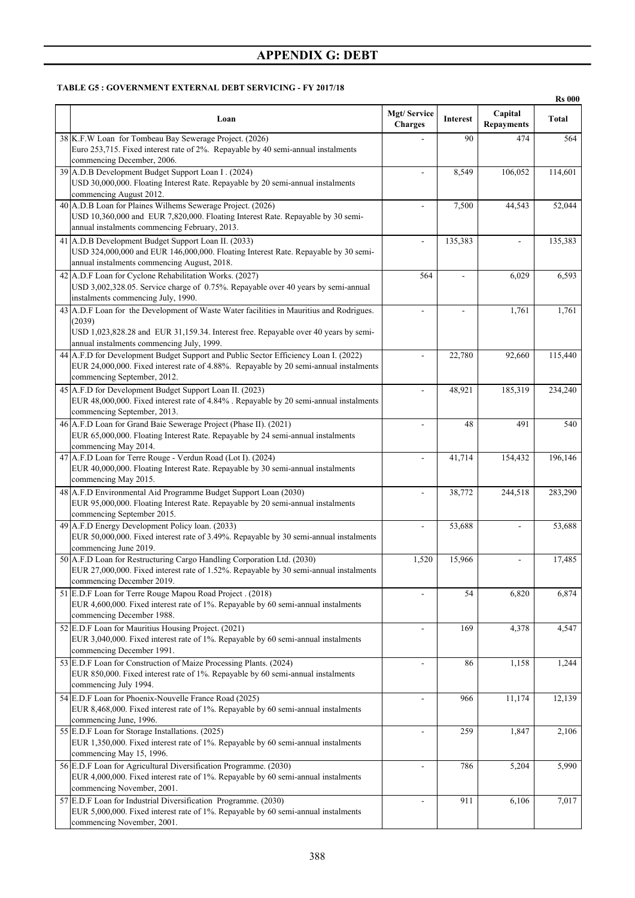#### **TABLE G5 : GOVERNMENT EXTERNAL DEBT SERVICING - FY 2017/18**

|                                                                                                                                                                                                                                       |                               |          |                              | <b>Rs 000</b> |
|---------------------------------------------------------------------------------------------------------------------------------------------------------------------------------------------------------------------------------------|-------------------------------|----------|------------------------------|---------------|
| Loan                                                                                                                                                                                                                                  | Mgt/Service<br><b>Charges</b> | Interest | Capital<br><b>Repayments</b> | <b>Total</b>  |
| 38 K.F.W Loan for Tombeau Bay Sewerage Project. (2026)<br>Euro 253,715. Fixed interest rate of 2%. Repayable by 40 semi-annual instalments<br>commencing December, 2006.                                                              |                               | 90       | 474                          | 564           |
| 39 A.D.B Development Budget Support Loan I. (2024)<br>USD 30,000,000. Floating Interest Rate. Repayable by 20 semi-annual instalments<br>commencing August 2012.                                                                      | ÷                             | 8,549    | 106,052                      | 114,601       |
| 40 A.D.B Loan for Plaines Wilhems Sewerage Project. (2026)<br>USD 10,360,000 and EUR 7,820,000. Floating Interest Rate. Repayable by 30 semi-<br>annual instalments commencing February, 2013.                                        |                               | 7,500    | 44,543                       | 52,044        |
| 41 A.D.B Development Budget Support Loan II. (2033)<br>USD 324,000,000 and EUR 146,000,000. Floating Interest Rate. Repayable by 30 semi-<br>annual instalments commencing August, 2018.                                              | ÷,                            | 135,383  | $\frac{1}{2}$                | 135,383       |
| 42 A.D.F Loan for Cyclone Rehabilitation Works. (2027)<br>USD 3,002,328.05. Service charge of 0.75%. Repayable over 40 years by semi-annual<br>instalments commencing July, 1990.                                                     | 564                           |          | 6,029                        | 6,593         |
| 43 A.D.F Loan for the Development of Waste Water facilities in Mauritius and Rodrigues.<br>(2039)<br>USD 1,023,828.28 and EUR 31,159.34. Interest free. Repayable over 40 years by semi-<br>annual instalments commencing July, 1999. | ÷,                            |          | 1,761                        | 1,761         |
| 44 A.F.D for Development Budget Support and Public Sector Efficiency Loan I. (2022)<br>EUR 24,000,000. Fixed interest rate of 4.88%. Repayable by 20 semi-annual instalments<br>commencing September, 2012.                           |                               | 22,780   | 92,660                       | 115,440       |
| 45 A.F.D for Development Budget Support Loan II. (2023)<br>EUR 48,000,000. Fixed interest rate of 4.84% . Repayable by 20 semi-annual instalments<br>commencing September, 2013.                                                      | $\overline{\phantom{a}}$      | 48,921   | 185,319                      | 234,240       |
| 46 A.F.D Loan for Grand Baie Sewerage Project (Phase II). (2021)<br>EUR 65,000,000. Floating Interest Rate. Repayable by 24 semi-annual instalments<br>commencing May 2014.                                                           |                               | 48       | 491                          | 540           |
| 47 A.F.D Loan for Terre Rouge - Verdun Road (Lot I). (2024)<br>EUR 40,000,000. Floating Interest Rate. Repayable by 30 semi-annual instalments<br>commencing May 2015.                                                                | ÷.                            | 41,714   | 154,432                      | 196,146       |
| 48 A.F.D Environmental Aid Programme Budget Support Loan (2030)<br>EUR 95,000,000. Floating Interest Rate. Repayable by 20 semi-annual instalments<br>commencing September 2015.                                                      | ÷.                            | 38,772   | 244,518                      | 283,290       |
| 49 A.F.D Energy Development Policy loan. (2033)<br>EUR 50,000,000. Fixed interest rate of 3.49%. Repayable by 30 semi-annual instalments<br>commencing June 2019.                                                                     |                               | 53,688   |                              | 53,688        |
| 50 A.F.D Loan for Restructuring Cargo Handling Corporation Ltd. (2030)<br>EUR 27,000,000. Fixed interest rate of 1.52%. Repayable by 30 semi-annual instalments<br>commencing December 2019.                                          | 1,520                         | 15,966   |                              | 17,485        |
| 51 E.D.F Loan for Terre Rouge Mapou Road Project . (2018)<br>EUR 4,600,000. Fixed interest rate of 1%. Repayable by 60 semi-annual instalments<br>commencing December 1988.                                                           |                               | 54       | 6,820                        | 6,874         |
| 52 E.D.F Loan for Mauritius Housing Project. (2021)<br>EUR 3,040,000. Fixed interest rate of 1%. Repayable by 60 semi-annual instalments<br>commencing December 1991.                                                                 |                               | 169      | 4,378                        | 4,547         |
| 53 E.D.F Loan for Construction of Maize Processing Plants. (2024)<br>EUR 850,000. Fixed interest rate of 1%. Repayable by 60 semi-annual instalments<br>commencing July 1994.                                                         | ÷,                            | 86       | 1,158                        | 1,244         |
| 54 E.D.F Loan for Phoenix-Nouvelle France Road (2025)<br>EUR 8,468,000. Fixed interest rate of 1%. Repayable by 60 semi-annual instalments<br>commencing June, 1996.                                                                  |                               | 966      | 11,174                       | 12,139        |
| 55 E.D.F Loan for Storage Installations. (2025)<br>EUR 1,350,000. Fixed interest rate of 1%. Repayable by 60 semi-annual instalments<br>commencing May 15, 1996.                                                                      | $\overline{a}$                | 259      | 1,847                        | 2,106         |
| 56 E.D.F Loan for Agricultural Diversification Programme. (2030)<br>EUR 4,000,000. Fixed interest rate of 1%. Repayable by 60 semi-annual instalments<br>commencing November, 2001.                                                   | ÷,                            | 786      | 5,204                        | 5,990         |
| 57 E.D.F Loan for Industrial Diversification Programme. (2030)<br>EUR 5,000,000. Fixed interest rate of 1%. Repayable by 60 semi-annual instalments<br>commencing November, 2001.                                                     |                               | 911      | 6,106                        | 7,017         |